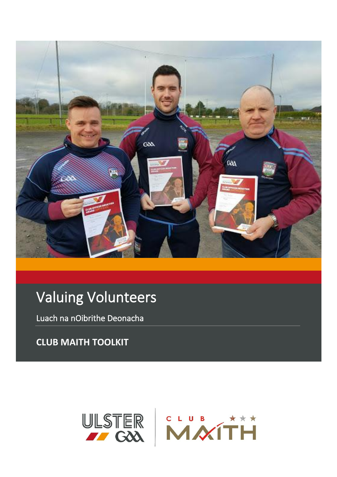

# Valuing Volunteers

Luach na nOibrithe Deonacha

**CLUB MAITH TOOLKIT**

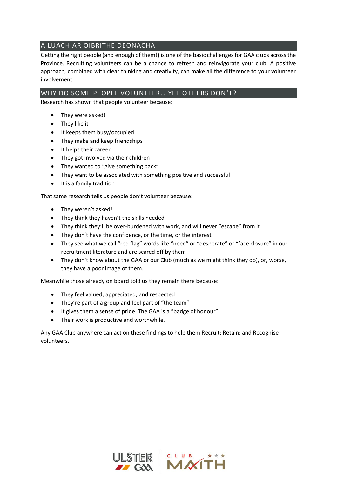## A LUACH AR OIBRITHE DEONACHA

Getting the right people (and enough of them!) is one of the basic challenges for GAA clubs across the Province. Recruiting volunteers can be a chance to refresh and reinvigorate your club. A positive approach, combined with clear thinking and creativity, can make all the difference to your volunteer involvement.

### WHY DO SOME PEOPLE VOLUNTEER… YET OTHERS DON'T?

Research has shown that people volunteer because:

- They were asked!
- They like it
- It keeps them busy/occupied
- They make and keep friendships
- It helps their career
- They got involved via their children
- They wanted to "give something back"
- They want to be associated with something positive and successful
- It is a family tradition

That same research tells us people don't volunteer because:

- They weren't asked!
- They think they haven't the skills needed
- They think they'll be over-burdened with work, and will never "escape" from it
- They don't have the confidence, or the time, or the interest
- They see what we call "red flag" words like "need" or "desperate" or "face closure" in our recruitment literature and are scared off by them
- They don't know about the GAA or our Club (much as we might think they do), or, worse, they have a poor image of them.

Meanwhile those already on board told us they remain there because:

- They feel valued; appreciated; and respected
- They're part of a group and feel part of "the team"
- It gives them a sense of pride. The GAA is a "badge of honour"
- Their work is productive and worthwhile.

Any GAA Club anywhere can act on these findings to help them Recruit; Retain; and Recognise volunteers.

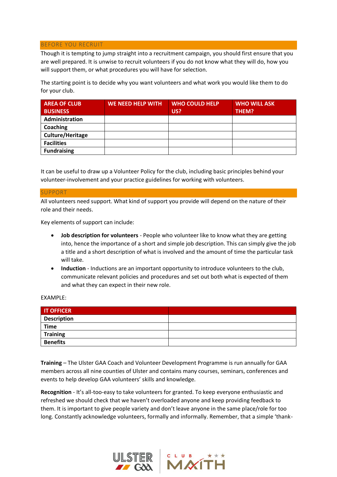#### BEFORE YOU RECRUIT

Though it is tempting to jump straight into a recruitment campaign, you should first ensure that you are well prepared. It is unwise to recruit volunteers if you do not know what they will do, how you will support them, or what procedures you will have for selection.

The starting point is to decide why you want volunteers and what work you would like them to do for your club.

| <b>AREA OF CLUB</b> | <b>WE NEED HELP WITH</b> | <b>WHO COULD HELP</b> | <b>WHO WILL ASK</b> |
|---------------------|--------------------------|-----------------------|---------------------|
| <b>BUSINESS</b>     |                          | US?                   | THEM?               |
| Administration      |                          |                       |                     |
| Coaching            |                          |                       |                     |
| Culture/Heritage    |                          |                       |                     |
| <b>Facilities</b>   |                          |                       |                     |
| <b>Fundraising</b>  |                          |                       |                     |

It can be useful to draw up a Volunteer Policy for the club, including basic principles behind your volunteer-involvement and your practice guidelines for working with volunteers.

#### SUPPORT

All volunteers need support. What kind of support you provide will depend on the nature of their role and their needs.

Key elements of support can include:

- **Job description for volunteers** People who volunteer like to know what they are getting into, hence the importance of a short and simple job description. This can simply give the job a title and a short description of what is involved and the amount of time the particular task will take.
- **Induction** Inductions are an important opportunity to introduce volunteers to the club, communicate relevant policies and procedures and set out both what is expected of them and what they can expect in their new role.

EXAMPLE:

| <b>IT OFFICER</b>  |  |
|--------------------|--|
| <b>Description</b> |  |
| <b>Time</b>        |  |
| <b>Training</b>    |  |
| <b>Benefits</b>    |  |

**Training** – The Ulster GAA Coach and Volunteer Development Programme is run annually for GAA members across all nine counties of Ulster and contains many courses, seminars, conferences and events to help develop GAA volunteers' skills and knowledge.

**Recognition** - It's all-too-easy to take volunteers for granted. To keep everyone enthusiastic and refreshed we should check that we haven't overloaded anyone and keep providing feedback to them. It is important to give people variety and don't leave anyone in the same place/role for too long. Constantly acknowledge volunteers, formally and informally. Remember, that a simple 'thank-